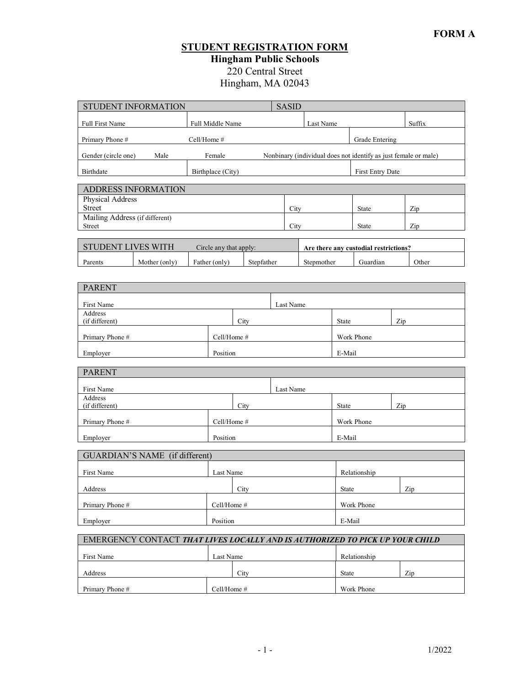### **STUDENT REGISTRATION FORM Hingham Public Schools**

220 Central Street

Hingham, MA 02043

| STUDENT INFORMATION                                                                                      |                             | <b>SASID</b> |                                       |        |  |  |  |  |  |
|----------------------------------------------------------------------------------------------------------|-----------------------------|--------------|---------------------------------------|--------|--|--|--|--|--|
| Full First Name                                                                                          | Full Middle Name            | Last Name    |                                       | Suffix |  |  |  |  |  |
| Primary Phone #                                                                                          | Cell/Home #                 |              | Grade Entering                        |        |  |  |  |  |  |
| Nonbinary (individual does not identify as just female or male)<br>Gender (circle one)<br>Female<br>Male |                             |              |                                       |        |  |  |  |  |  |
| Birthdate<br>Birthplace (City)<br>First Entry Date                                                       |                             |              |                                       |        |  |  |  |  |  |
| ADDRESS INFORMATION                                                                                      |                             |              |                                       |        |  |  |  |  |  |
| Physical Address<br>Street                                                                               |                             | City         | <b>State</b>                          | Zip    |  |  |  |  |  |
| Mailing Address (if different)                                                                           |                             |              |                                       |        |  |  |  |  |  |
| Street                                                                                                   |                             | City         | <b>State</b>                          | Zip    |  |  |  |  |  |
| STUDENT LIVES WITH                                                                                       | Circle any that apply:      |              | Are there any custodial restrictions? |        |  |  |  |  |  |
| Parents<br>Mother (only)                                                                                 | Father (only)<br>Stepfather | Stepmother   | Guardian                              | Other  |  |  |  |  |  |
| <b>PARENT</b>                                                                                            |                             |              |                                       |        |  |  |  |  |  |
|                                                                                                          |                             |              |                                       |        |  |  |  |  |  |
| First Name<br>Address                                                                                    |                             | Last Name    |                                       |        |  |  |  |  |  |
| (if different)                                                                                           | City                        | State        |                                       | Zip    |  |  |  |  |  |
| Primary Phone #                                                                                          | Cell/Home #                 | Work Phone   |                                       |        |  |  |  |  |  |
| Employer                                                                                                 | Position                    | E-Mail       |                                       |        |  |  |  |  |  |
| <b>PARENT</b>                                                                                            |                             |              |                                       |        |  |  |  |  |  |
| First Name<br>Address                                                                                    |                             | Last Name    |                                       |        |  |  |  |  |  |
| (if different)                                                                                           | City                        |              | State                                 | Zip    |  |  |  |  |  |
| Primary Phone #                                                                                          | Cell/Home #                 |              | Work Phone                            |        |  |  |  |  |  |
| Employer                                                                                                 | Position                    | E-Mail       |                                       |        |  |  |  |  |  |
| GUARDIAN'S NAME (if different)                                                                           |                             |              |                                       |        |  |  |  |  |  |
| First Name                                                                                               | Last Name                   |              | Relationship                          |        |  |  |  |  |  |
| Address                                                                                                  | City                        |              | State                                 | Zip    |  |  |  |  |  |
| Primary Phone #                                                                                          | Work Phone                  |              |                                       |        |  |  |  |  |  |
| Employer                                                                                                 | E-Mail                      |              |                                       |        |  |  |  |  |  |
| EMERGENCY CONTACT THAT LIVES LOCALLY AND IS AUTHORIZED TO PICK UP YOUR CHILD                             |                             |              |                                       |        |  |  |  |  |  |
| First Name                                                                                               | Last Name                   |              | Relationship                          |        |  |  |  |  |  |
| Address                                                                                                  | City                        |              | State                                 | Zip    |  |  |  |  |  |
| Primary Phone#                                                                                           | Cell/Home #                 |              | Work Phone                            |        |  |  |  |  |  |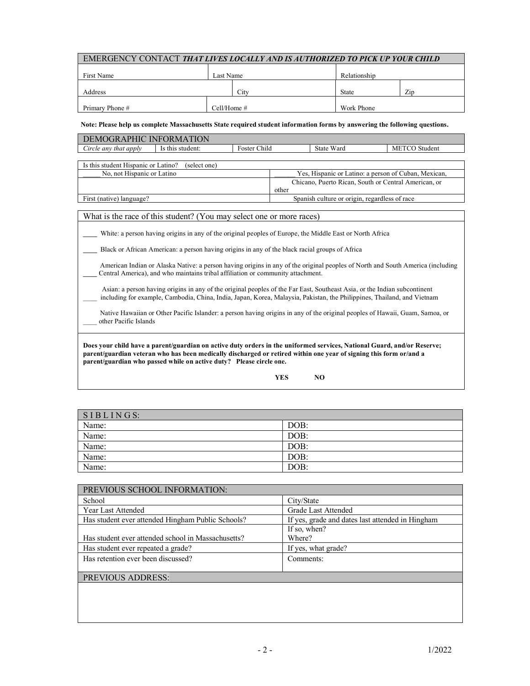| <b>EMERGENCY CONTACT THAT LIVES LOCALLY AND IS AUTHORIZED TO PICK UP YOUR CHILD</b>                                                                                                                                                                  |                                                                                                                                |              |                                                               |            |                                                      |  |                      |
|------------------------------------------------------------------------------------------------------------------------------------------------------------------------------------------------------------------------------------------------------|--------------------------------------------------------------------------------------------------------------------------------|--------------|---------------------------------------------------------------|------------|------------------------------------------------------|--|----------------------|
| First Name                                                                                                                                                                                                                                           |                                                                                                                                | Last Name    |                                                               |            | Relationship                                         |  |                      |
|                                                                                                                                                                                                                                                      |                                                                                                                                |              |                                                               |            |                                                      |  |                      |
| Address                                                                                                                                                                                                                                              |                                                                                                                                | City         |                                                               |            | <b>State</b>                                         |  | Zip                  |
| Primary Phone#                                                                                                                                                                                                                                       |                                                                                                                                | Cell/Home #  |                                                               |            | Work Phone                                           |  |                      |
| Note: Please help us complete Massachusetts State required student information forms by answering the following questions.                                                                                                                           |                                                                                                                                |              |                                                               |            |                                                      |  |                      |
| DEMOGRAPHIC INFORMATION                                                                                                                                                                                                                              |                                                                                                                                |              |                                                               |            |                                                      |  |                      |
| Circle any that apply<br>Is this student:                                                                                                                                                                                                            |                                                                                                                                | Foster Child |                                                               | State Ward |                                                      |  | <b>METCO</b> Student |
| Is this student Hispanic or Latino?                                                                                                                                                                                                                  | (select one)                                                                                                                   |              |                                                               |            |                                                      |  |                      |
| No, not Hispanic or Latino                                                                                                                                                                                                                           |                                                                                                                                |              |                                                               |            | Yes, Hispanic or Latino: a person of Cuban, Mexican, |  |                      |
|                                                                                                                                                                                                                                                      |                                                                                                                                |              | Chicano, Puerto Rican, South or Central American, or<br>other |            |                                                      |  |                      |
| First (native) language?                                                                                                                                                                                                                             |                                                                                                                                |              |                                                               |            | Spanish culture or origin, regardless of race        |  |                      |
|                                                                                                                                                                                                                                                      |                                                                                                                                |              |                                                               |            |                                                      |  |                      |
| What is the race of this student? (You may select one or more races)                                                                                                                                                                                 |                                                                                                                                |              |                                                               |            |                                                      |  |                      |
| White: a person having origins in any of the original peoples of Europe, the Middle East or North Africa                                                                                                                                             |                                                                                                                                |              |                                                               |            |                                                      |  |                      |
| Black or African American: a person having origins in any of the black racial groups of Africa                                                                                                                                                       |                                                                                                                                |              |                                                               |            |                                                      |  |                      |
|                                                                                                                                                                                                                                                      | American Indian or Alaska Native: a person having origins in any of the original peoples of North and South America (including |              |                                                               |            |                                                      |  |                      |
| Central America), and who maintains tribal affiliation or community attachment.                                                                                                                                                                      |                                                                                                                                |              |                                                               |            |                                                      |  |                      |
|                                                                                                                                                                                                                                                      |                                                                                                                                |              |                                                               |            |                                                      |  |                      |
| Asian: a person having origins in any of the original peoples of the Far East, Southeast Asia, or the Indian subcontinent<br>including for example, Cambodia, China, India, Japan, Korea, Malaysia, Pakistan, the Philippines, Thailand, and Vietnam |                                                                                                                                |              |                                                               |            |                                                      |  |                      |
| Native Hawaiian or Other Pacific Islander: a person having origins in any of the original peoples of Hawaii, Guam, Samoa, or                                                                                                                         |                                                                                                                                |              |                                                               |            |                                                      |  |                      |
| other Pacific Islands                                                                                                                                                                                                                                |                                                                                                                                |              |                                                               |            |                                                      |  |                      |
| Does your child have a parent/guardian on active duty orders in the uniformed services, National Guard, and/or Reserve;                                                                                                                              |                                                                                                                                |              |                                                               |            |                                                      |  |                      |
| parent/guardian veteran who has been medically discharged or retired within one year of signing this form or/and a                                                                                                                                   |                                                                                                                                |              |                                                               |            |                                                      |  |                      |
| parent/guardian who passed while on active duty? Please circle one.                                                                                                                                                                                  |                                                                                                                                |              |                                                               |            |                                                      |  |                      |

| YES | NO |
|-----|----|
|-----|----|

| SIBLINGS: |      |
|-----------|------|
| Name:     | DOB: |
| Name:     | DOB: |
| Name:     | DOB: |
| Name:     | DOB: |
| Name:     | DOB: |

| PREVIOUS SCHOOL INFORMATION:                       |                                                  |  |  |  |  |  |
|----------------------------------------------------|--------------------------------------------------|--|--|--|--|--|
| School                                             | City/State                                       |  |  |  |  |  |
| Year Last Attended                                 | Grade Last Attended                              |  |  |  |  |  |
| Has student ever attended Hingham Public Schools?  | If yes, grade and dates last attended in Hingham |  |  |  |  |  |
|                                                    | If so, when?                                     |  |  |  |  |  |
| Has student ever attended school in Massachusetts? | Where?                                           |  |  |  |  |  |
| Has student ever repeated a grade?                 | If yes, what grade?                              |  |  |  |  |  |
| Has retention ever been discussed?                 | Comments:                                        |  |  |  |  |  |
|                                                    |                                                  |  |  |  |  |  |
| <b>PREVIOUS ADDRESS:</b>                           |                                                  |  |  |  |  |  |
|                                                    |                                                  |  |  |  |  |  |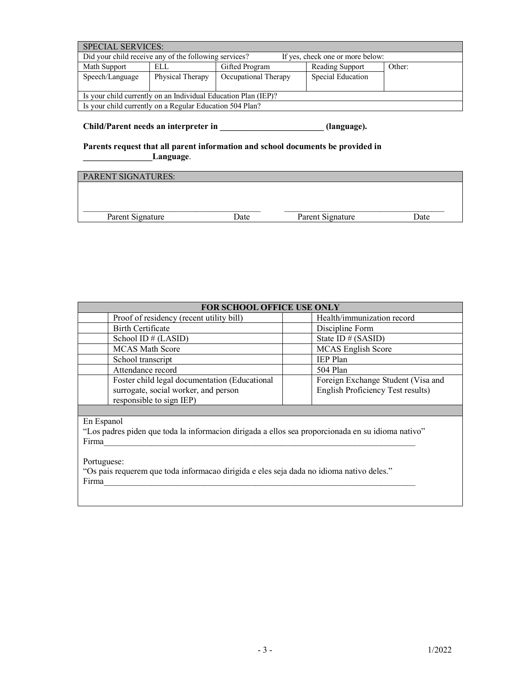| <b>SPECIAL SERVICES:</b>                                                                  |                  |                      |                   |        |  |  |  |  |  |
|-------------------------------------------------------------------------------------------|------------------|----------------------|-------------------|--------|--|--|--|--|--|
| Did your child receive any of the following services?<br>If yes, check one or more below: |                  |                      |                   |        |  |  |  |  |  |
| Math Support                                                                              | ELL              | Gifted Program       | Reading Support   | Other: |  |  |  |  |  |
| Speech/Language                                                                           | Physical Therapy | Occupational Therapy | Special Education |        |  |  |  |  |  |
|                                                                                           |                  |                      |                   |        |  |  |  |  |  |
| Is your child currently on an Individual Education Plan (IEP)?                            |                  |                      |                   |        |  |  |  |  |  |
| Is your child currently on a Regular Education 504 Plan?                                  |                  |                      |                   |        |  |  |  |  |  |

**Child/Parent needs an interpreter in \_\_\_\_\_\_\_\_\_\_\_\_\_\_\_\_\_\_\_\_\_\_\_\_ (language).**

**Parents request that all parent information and school documents be provided in \_\_\_\_\_\_\_\_\_\_\_\_\_\_\_\_Language**.

|      | <b>Date</b>      |
|------|------------------|
| Date | Parent Signature |

| <b>FOR SCHOOL OFFICE USE ONLY</b>                                                                                 |                                                                         |  |  |  |  |  |  |
|-------------------------------------------------------------------------------------------------------------------|-------------------------------------------------------------------------|--|--|--|--|--|--|
| Proof of residency (recent utility bill)                                                                          | Health/immunization record                                              |  |  |  |  |  |  |
| Birth Certificate                                                                                                 | Discipline Form                                                         |  |  |  |  |  |  |
| School ID $#$ (LASID)                                                                                             | State ID # (SASID)                                                      |  |  |  |  |  |  |
| <b>MCAS</b> Math Score                                                                                            | <b>MCAS</b> English Score                                               |  |  |  |  |  |  |
| School transcript                                                                                                 | <b>IEP</b> Plan                                                         |  |  |  |  |  |  |
| Attendance record                                                                                                 | 504 Plan                                                                |  |  |  |  |  |  |
| Foster child legal documentation (Educational<br>surrogate, social worker, and person<br>responsible to sign IEP) | Foreign Exchange Student (Visa and<br>English Proficiency Test results) |  |  |  |  |  |  |

En Espanol

"Los padres piden que toda la informacion dirigada a ellos sea proporcionada en su idioma nativo" Firma $_-$ 

Portuguese:

"Os pais requerem que toda informacao dirigida e eles seja dada no idioma nativo deles."  $Firma$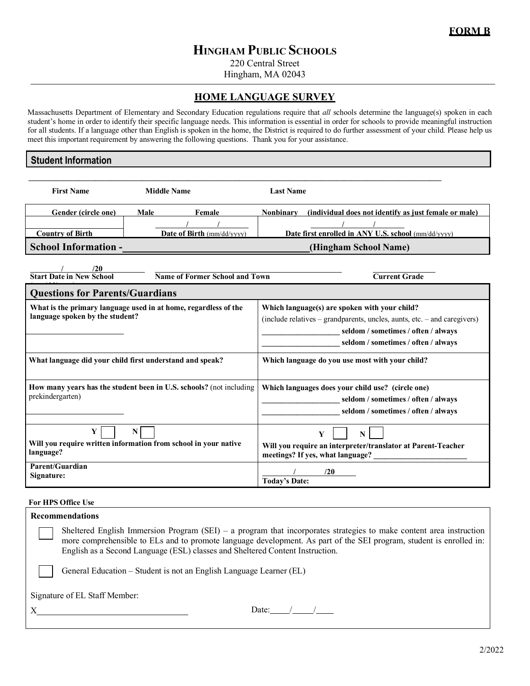## **HINGHAM PUBLIC SCHOOLS**

220 Central Street

Hingham, MA 02043

#### **HOME LANGUAGE SURVEY**

Massachusetts Department of Elementary and Secondary Education regulations require that *all* schools determine the language(s) spoken in each student's home in order to identify their specific language needs. This information is essential in order for schools to provide meaningful instruction for all students. If a language other than English is spoken in the home, the District is required to do further assessment of your child. Please help us meet this important requirement by answering the following questions. Thank you for your assistance.

#### **Student Information**

| <b>First Name</b>                                                                                  | <b>Middle Name</b> |                                | <b>Last Name</b>                                                                                                                                                                                        |                                                                                                                                 |  |
|----------------------------------------------------------------------------------------------------|--------------------|--------------------------------|---------------------------------------------------------------------------------------------------------------------------------------------------------------------------------------------------------|---------------------------------------------------------------------------------------------------------------------------------|--|
| Gender (circle one)                                                                                | Male               | Female                         | <b>Nonbinary</b>                                                                                                                                                                                        | (individual does not identify as just female or male)                                                                           |  |
|                                                                                                    |                    |                                |                                                                                                                                                                                                         |                                                                                                                                 |  |
| <b>Country of Birth</b>                                                                            |                    | Date of Birth (mm/dd/vvvv)     |                                                                                                                                                                                                         | Date first enrolled in ANY U.S. school (mm/dd/yyyy)                                                                             |  |
| <b>School Information -</b>                                                                        |                    |                                |                                                                                                                                                                                                         | (Hingham School Name)                                                                                                           |  |
| /20<br><b>Start Date in New School</b>                                                             |                    | Name of Former School and Town |                                                                                                                                                                                                         | <b>Current Grade</b>                                                                                                            |  |
|                                                                                                    |                    |                                |                                                                                                                                                                                                         |                                                                                                                                 |  |
| <b>Questions for Parents/Guardians</b>                                                             |                    |                                |                                                                                                                                                                                                         |                                                                                                                                 |  |
| What is the primary language used in at home, regardless of the<br>language spoken by the student? |                    |                                | Which language(s) are spoken with your child?<br>(include relatives – grandparents, uncles, aunts, etc. – and caregivers)<br>seldom / sometimes / often / always<br>seldom / sometimes / often / always |                                                                                                                                 |  |
| What language did your child first understand and speak?                                           |                    |                                |                                                                                                                                                                                                         | Which language do you use most with your child?                                                                                 |  |
| How many years has the student been in U.S. schools? (not including<br>prekindergarten)            |                    |                                |                                                                                                                                                                                                         | Which languages does your child use? (circle one)<br>seldom / sometimes / often / always<br>seldom / sometimes / often / always |  |
| Y<br>Will you require written information from school in your native<br>language?                  | N                  |                                |                                                                                                                                                                                                         | Y<br>$\mathbf N$<br>Will you require an interpreter/translator at Parent-Teacher<br>meetings? If yes, what language?            |  |
| Parent/Guardian<br>Signature:                                                                      |                    |                                | <b>Today's Date:</b>                                                                                                                                                                                    | /20                                                                                                                             |  |

## y) **For HPS Office Use**

| <b>Recommendations</b>                                                                                                                                                                                                                                                                                                      |
|-----------------------------------------------------------------------------------------------------------------------------------------------------------------------------------------------------------------------------------------------------------------------------------------------------------------------------|
| Sheltered English Immersion Program (SEI) – a program that incorporates strategies to make content area instruction<br>more comprehensible to ELs and to promote language development. As part of the SEI program, student is enrolled in:<br>English as a Second Language (ESL) classes and Sheltered Content Instruction. |
| General Education – Student is not an English Language Learner (EL)                                                                                                                                                                                                                                                         |
| Signature of EL Staff Member:                                                                                                                                                                                                                                                                                               |
| Date:                                                                                                                                                                                                                                                                                                                       |

2/2022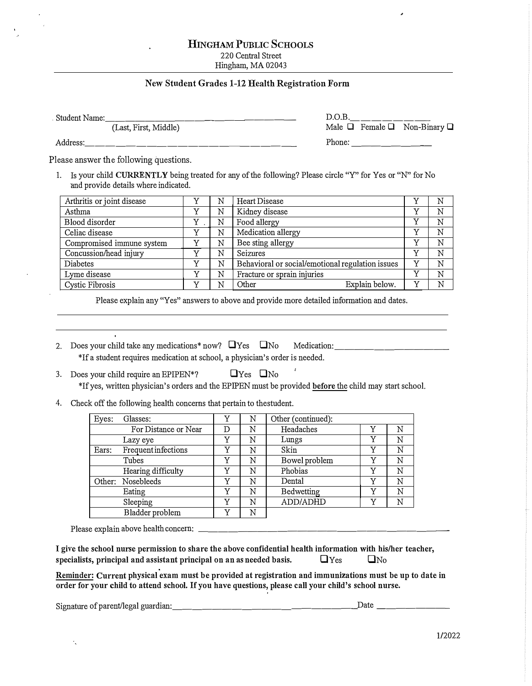#### **HINGHAM PUBLIC SCHOOLS**

220 Central Street Hingham, MA 02043

#### **New Student Grades 1-12 Health Registration Form**

. Student Name: \_\_\_\_\_\_\_\_\_\_\_\_\_ \_\_\_\_ \_ D.0.B. \_\_\_\_\_\_\_ \_ Male  $\Box$  Female  $\Box$  Non-Binary  $\Box$ 

Address: \_\_\_\_\_\_\_\_\_\_\_\_\_\_ \_\_\_\_\_ \_ Phone: \_\_\_\_\_\_\_ \_

Please answer the following questions.

1. Is your child **CURRENTLY** being treated for any of the following? Please circle "Y" for Yes or "N" for No and provide details where indicated.

| Arthritis or joint disease |              | N | Heart Disease                                    |              | N |
|----------------------------|--------------|---|--------------------------------------------------|--------------|---|
| Asthma                     |              | N | Kidney disease                                   | v            | N |
| Blood disorder             | v            | N | Food allergy                                     | $\mathbf v$  | N |
| Celiac disease             |              | N | Medication allergy                               | v            | N |
| Compromised immune system  |              | N | Bee sting allergy                                | $\mathbf v$  | N |
| Concussion/head injury     | $\tau$       | N | Seizures                                         | $\mathbf v$  | N |
| Diabetes                   | $\mathbf{v}$ | N | Behavioral or social/emotional regulation issues | v            | N |
| Lyme disease               | $\tau$       | N | Fracture or sprain injuries                      | $\mathbf v$  | N |
| Cystic Fibrosis            | $\mathbf{v}$ | N | Explain below.<br>Other                          | $\mathbf{v}$ | N |

Please explain any "Yes" answers to above and provide more detailed information and dates.

- 2. Does your child take any medications\* now?  $\Box$ Yes  $\Box$ No Medication: \*If a student requires medication at school, a physician's order is needed.
- 3. Does your child require an EPIPEN\*?  $\Box$  Yes  $\Box$  No \*If yes, written physician's orders and the EPIPEN must be provided **before** the child may start school.
- 4. Check off the following health concerns that pertain to thestudent.

| Eyes: | Glasses:                   |   | N | Other (continued): |             |   |
|-------|----------------------------|---|---|--------------------|-------------|---|
|       | For Distance or Near       | D | N | Headaches          |             | N |
|       | Lazy eye                   | Y | N | Lungs              | v           | N |
| Ears: | <b>Frequent infections</b> | Y | N | Skin               | Y           | N |
|       | Tubes                      | Y | N | Bowel problem      |             | N |
|       | Hearing difficulty         | Y | N | Phobias            | v           | N |
|       | Other: Nosebleeds          | Y | N | Dental             | v           | N |
|       | Eating                     | Y | N | Bedwetting         | v           | N |
|       | Sleeping                   | Y | N | ADD/ADHD           | $\mathbf v$ | N |
|       | Bladder problem            | v | N |                    |             |   |

Please explain above health concern: \_\_\_\_\_\_\_\_\_\_\_\_\_\_\_\_\_\_\_\_\_\_\_\_ \_

| I give the school nurse permission to share the above confidential health information with his/her teacher, |            |           |  |
|-------------------------------------------------------------------------------------------------------------|------------|-----------|--|
| specialists, principal and assistant principal on an as needed basis.                                       | $\Box$ Yes | $\Box$ No |  |

**Reminder: Current physical exam must be provided at registration and immunizations must be up to date in order for your child to attend school.** If **you have questions, please call your child's school nurse.** 

Signature of parent/legal guardian: \_\_\_\_\_\_\_\_\_\_\_\_\_\_\_\_\_\_ �Date \_\_\_\_\_\_\_ \_

Ä,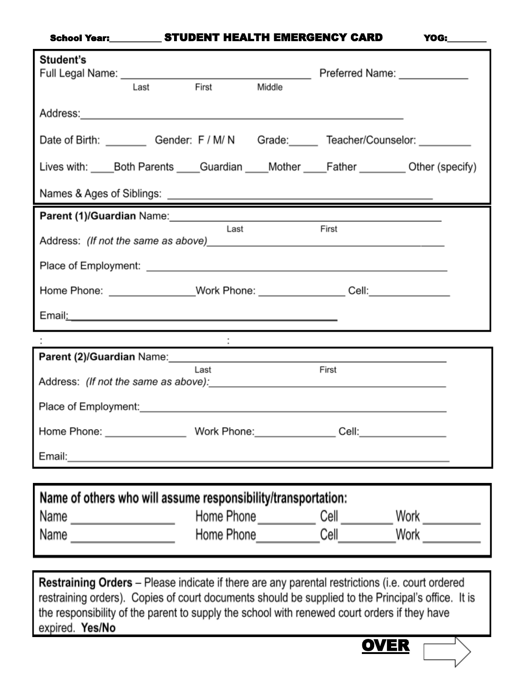### School Year:\_\_\_\_\_\_\_\_\_\_\_\_ STUDENT HEALTH EMERGENCY CARD YOG:

|                                                                                                                 | Last | First       | Middle |                                                                                                                                                                                                                                      |  |  |  |  |
|-----------------------------------------------------------------------------------------------------------------|------|-------------|--------|--------------------------------------------------------------------------------------------------------------------------------------------------------------------------------------------------------------------------------------|--|--|--|--|
|                                                                                                                 |      |             |        |                                                                                                                                                                                                                                      |  |  |  |  |
|                                                                                                                 |      |             |        | Date of Birth: ___________ Gender: F / M/ N Grade: ______ Teacher/Counselor: _________                                                                                                                                               |  |  |  |  |
|                                                                                                                 |      |             |        | Lives with: Both Parents Guardian Mother Father Other (specify)                                                                                                                                                                      |  |  |  |  |
|                                                                                                                 |      |             |        |                                                                                                                                                                                                                                      |  |  |  |  |
|                                                                                                                 |      |             |        | Parent (1)/Guardian Name: Manual Communication of the Communication of the Communication of the Communication                                                                                                                        |  |  |  |  |
|                                                                                                                 |      | Last        |        | First                                                                                                                                                                                                                                |  |  |  |  |
|                                                                                                                 |      |             |        |                                                                                                                                                                                                                                      |  |  |  |  |
|                                                                                                                 |      |             |        | Home Phone: ________________Work Phone: __________________Cell: ________________                                                                                                                                                     |  |  |  |  |
| Email: 2008. 2009. 2009. 2010. 2010. 2010. 2010. 2010. 2011. 2012. 2012. 2012. 2014. 2016. 2017. 2017. 2017. 20 |      |             |        |                                                                                                                                                                                                                                      |  |  |  |  |
|                                                                                                                 |      |             |        |                                                                                                                                                                                                                                      |  |  |  |  |
|                                                                                                                 |      | Last        |        | Parent (2)/Guardian Name: Manual Annual Annual Annual Annual Annual Annual Annual Annual Annual Annual Annual<br>First                                                                                                               |  |  |  |  |
|                                                                                                                 |      |             |        |                                                                                                                                                                                                                                      |  |  |  |  |
|                                                                                                                 |      |             |        | Place of Employment: <u>contract and contract and contract and contract and contract and contract and contract and contract and contract and contract and contract and contract and contract and contract and contract and contr</u> |  |  |  |  |
|                                                                                                                 |      |             |        |                                                                                                                                                                                                                                      |  |  |  |  |
| Home Phone:                                                                                                     |      | Work Phone: |        | Cell:                                                                                                                                                                                                                                |  |  |  |  |
|                                                                                                                 |      |             |        |                                                                                                                                                                                                                                      |  |  |  |  |
|                                                                                                                 |      |             |        |                                                                                                                                                                                                                                      |  |  |  |  |
| Name of others who will assume responsibility/transportation:                                                   |      |             |        |                                                                                                                                                                                                                                      |  |  |  |  |
| Name ____________________                                                                                       |      |             |        | Home Phone ______________ Cell ___________ Work ___________                                                                                                                                                                          |  |  |  |  |
|                                                                                                                 |      |             |        | Home Phone <b>Cell</b> Mork More Phone Mone                                                                                                                                                                                          |  |  |  |  |
|                                                                                                                 |      |             |        |                                                                                                                                                                                                                                      |  |  |  |  |

the responsibility of the parent to supply the school with renewed court orders if they have expired. Yes/No

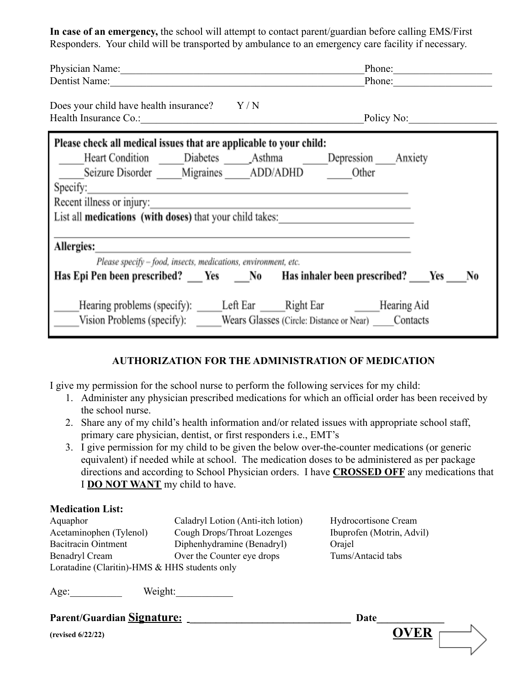**In case of an emergency,** the school will attempt to contact parent/guardian before calling EMS/First Responders. Your child will be transported by ambulance to an emergency care facility if necessary.

| Physician Name:                                                                                                             | Phone:                                                                                     |  |  |  |
|-----------------------------------------------------------------------------------------------------------------------------|--------------------------------------------------------------------------------------------|--|--|--|
| Dentist Name:                                                                                                               | Phone:                                                                                     |  |  |  |
| Does your child have health insurance? $Y/N$                                                                                |                                                                                            |  |  |  |
| Please check all medical issues that are applicable to your child:                                                          |                                                                                            |  |  |  |
| ____Heart Condition ______Diabetes _______Asthma ________Depression ____Anxiety                                             |                                                                                            |  |  |  |
| Seizure Disorder Migraines ADD/ADHD Other                                                                                   |                                                                                            |  |  |  |
| Specify:                                                                                                                    |                                                                                            |  |  |  |
| Recent illness or injury:                                                                                                   |                                                                                            |  |  |  |
| List all medications (with doses) that your child takes:<br><u>List all medications</u> (with doses) that your child takes: |                                                                                            |  |  |  |
|                                                                                                                             |                                                                                            |  |  |  |
| Allergies:                                                                                                                  |                                                                                            |  |  |  |
| Please specify - food, insects, medications, environment, etc.                                                              |                                                                                            |  |  |  |
|                                                                                                                             | Has Epi Pen been prescribed? ___ Yes ____ No Has inhaler been prescribed? ____ Yes ____ No |  |  |  |
|                                                                                                                             |                                                                                            |  |  |  |
| _Hearing problems (specify): _______Left Ear _______Right Ear ____________Hearing Aid                                       |                                                                                            |  |  |  |
| Vision Problems (specify): _____ Wears Glasses (Circle: Distance or Near) Contacts                                          |                                                                                            |  |  |  |

### **AUTHORIZATION FOR THE ADMINISTRATION OF MEDICATION**

I give my permission for the school nurse to perform the following services for my child:

- 1. Administer any physician prescribed medications for which an official order has been received by the school nurse.
- 2. Share any of my child's health information and/or related issues with appropriate school staff, primary care physician, dentist, or first responders i.e., EMT's
- 3. I give permission for my child to be given the below over-the-counter medications (or generic equivalent) if needed while at school. The medication doses to be administered as per package directions and according to School Physician orders. I have **CROSSED OFF** any medications that I **DO NOT WANT** my child to have.

### **Medication List:**

Aquaphor Caladryl Lotion (Anti-itch lotion) Hydrocortisone Cream Acetaminophen (Tylenol) Cough Drops/Throat Lozenges Ibuprofen (Motrin, Advil) Bacitracin Ointment Diphenhydramine (Benadryl) Orajel Benadryl Cream Over the Counter eye drops Tums/Antacid tabs Loratadine (Claritin)-HMS & HHS students only

Age: Weight:

**Parent/Guardian Signature**:

**(revised 6/22/22) OVER**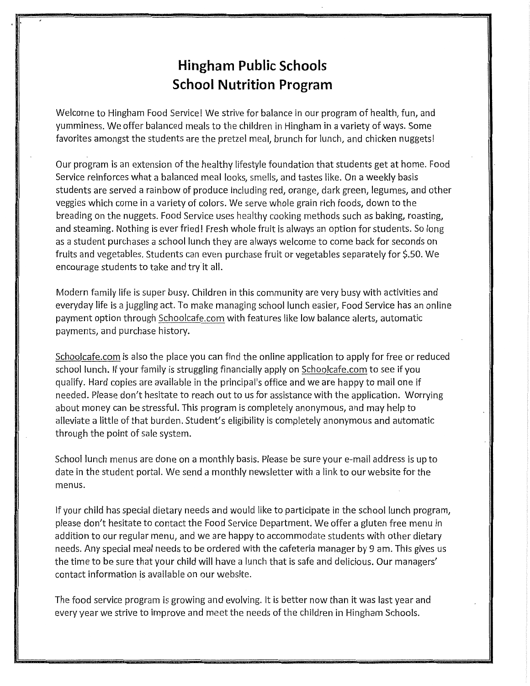## **Hingham Public Schools School Nutrition Program**

Welcome to Hingham Food Service! We strive for balance in our program of health, fun, and yumminess. We offer balanced meals to the children in Hingham in a variety of ways. Some favorites amongst the students are the pretzel meal, brunch for lunch, and chicken nuggets!

Our program is an extension of the healthy lifestyle foundation that students get at home. Food Service reinforces what a balanced meal looks, smells, and tastes like. On a weekly basis students are served a rainbow of produce including red, orange, dark green, legumes, and other veggies which come in a variety of colors. We serve whole grain rich foods, down to the breading on the nuggets. Food Service uses healthy cooking methods such as baking, roasting, and steaming. Nothing is ever fried! Fresh whole fruit is always an option for students. So long as a student purchases a school lunch they are always welcome to come back for seconds on fruits and vegetables. Students can even purchase fruit or vegetables separately for \$.50. We encourage students to take and try it all.

Modern family life is super busy. Children in this community are very busy with activities and everyday life is a juggling act. To make managing school lunch easier, Food Service has an online payment option through Schoolcafe.com with features like low balance alerts, automatic payments, and purchase history.

Schoolcafe.com is also the place you can find the online application to apply for free or reduced school lunch. If your family is struggling financially apply on Schoolcafe.com to see if you qualify. Hard copies are available in the principal's office and we are happy to mail one if needed. Please don't hesitate to reach out to us for assistance with the application. Worrying about money can be stressful. This program is completely anonymous, and may help to alleviate a little of that burden. Student's eligibility is completely anonymous and automatic through the point of sale system.

School lunch menus are done on a monthly basis. Please be sure your e-mail address is up to date in the student portal. We send a monthly newsletter with a link to our website for the menus.

If your child has special dietary needs and would like to participate in the school lunch program, please don't hesitate to contact the Food Service Department. We offer a gluten free menu in addition to our regular menu, and we are happy to accommodate students with other dietary needs. Any special meal needs to be ordered with the cafeteria manager by 9 am. This gives us the time to be sure that your child will have a lunch that is safe and delicious. Our managers' contact information is available on our website.

The food service program is growing and evolving. It is better now than it was last year and every year we strive to improve and meet the needs of the children in Hingham Schools.